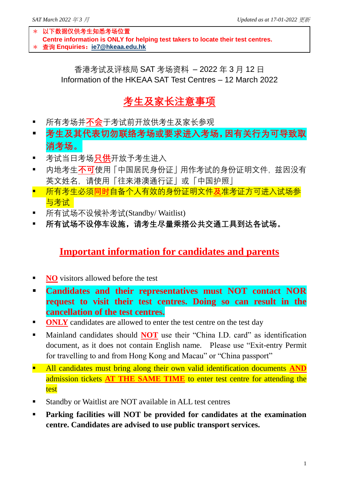\* **以下数据仅供考生知悉考场位置 Centre information is ONLY for helping test takers to locate their test centres.** \* **查询 Enquiries:[ie7@hkeaa.edu.hk](mailto:ie7@hkeaa.edu.hk)**

香港考试及评核局 SAT 考场资料 – 2022 年 3 月 12 日 Information of the HKEAA SAT Test Centres – 12 March 2022

## **考生及家长注意事项**

- 所有考场并**不会**干考试前开放供考生及家长参观
- **考生及其代表切勿联络考场或要求进入考场,因有关行为可导致取 消考场。**
- 考试当日考场<mark>只供</mark>开放予考生进入
- 内地考生**不可**使用「中国居民身份证」用作考试的身份证明文件, 兹因没有 英文姓名,请使用「往来港澳通行证」或「中国护照」
- 所有考生必须**同时**自备个人有效的身份证明文件**及**准考证方可进入试场参 与考试
- 所有试场不设候补考试(Standby/ Waitlist)
- **所有试场不设停车设施,请考生尽量乘搭公共交通工具到达各试场。**

## **Important information for candidates and parents**

- **NO** visitors allowed before the test
- **Candidates and their representatives must NOT contact NOR request to visit their test centres. Doing so can result in the cancellation of the test centres.**
- **ONLY** candidates are allowed to enter the test centre on the test day
- Mainland candidates should **NOT** use their "China I.D. card" as identification document, as it does not contain English name. Please use "Exit-entry Permit for travelling to and from Hong Kong and Macau" or "China passport"
- **E** All candidates must bring along their own valid identification documents AND admission tickets **AT THE SAME TIME** to enter test centre for attending the test
- Standby or Waitlist are NOT available in ALL test centres
- **Parking facilities will NOT be provided for candidates at the examination centre. Candidates are advised to use public transport services.**